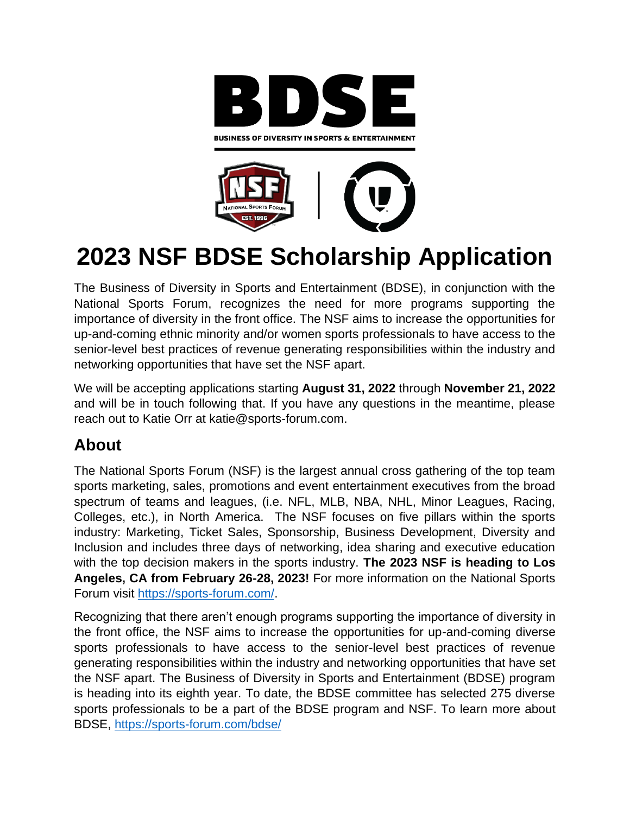



# **2023 NSF BDSE Scholarship Application**

The Business of Diversity in Sports and Entertainment (BDSE), in conjunction with the National Sports Forum, recognizes the need for more programs supporting the importance of diversity in the front office. The NSF aims to increase the opportunities for up-and-coming ethnic minority and/or women sports professionals to have access to the senior-level best practices of revenue generating responsibilities within the industry and networking opportunities that have set the NSF apart.

We will be accepting applications starting **August 31, 2022** through **November 21, 2022** and will be in touch following that. If you have any questions in the meantime, please reach out to Katie Orr at katie@sports-forum.com.

## **About**

The National Sports Forum (NSF) is the largest annual cross gathering of the top team sports marketing, sales, promotions and event entertainment executives from the broad spectrum of teams and leagues, (i.e. NFL, MLB, NBA, NHL, Minor Leagues, Racing, Colleges, etc.), in North America. The NSF focuses on five pillars within the sports industry: Marketing, Ticket Sales, Sponsorship, Business Development, Diversity and Inclusion and includes three days of networking, idea sharing and executive education with the top decision makers in the sports industry. **The 2023 NSF is heading to Los Angeles, CA from February 26-28, 2023!** For more information on the National Sports Forum visit [https://sports-forum.com/.](https://sports-forum.com/)

Recognizing that there aren't enough programs supporting the importance of diversity in the front office, the NSF aims to increase the opportunities for up-and-coming diverse sports professionals to have access to the senior-level best practices of revenue generating responsibilities within the industry and networking opportunities that have set the NSF apart. The Business of Diversity in Sports and Entertainment (BDSE) program is heading into its eighth year. To date, the BDSE committee has selected 275 diverse sports professionals to be a part of the BDSE program and NSF. To learn more about BDSE,<https://sports-forum.com/bdse/>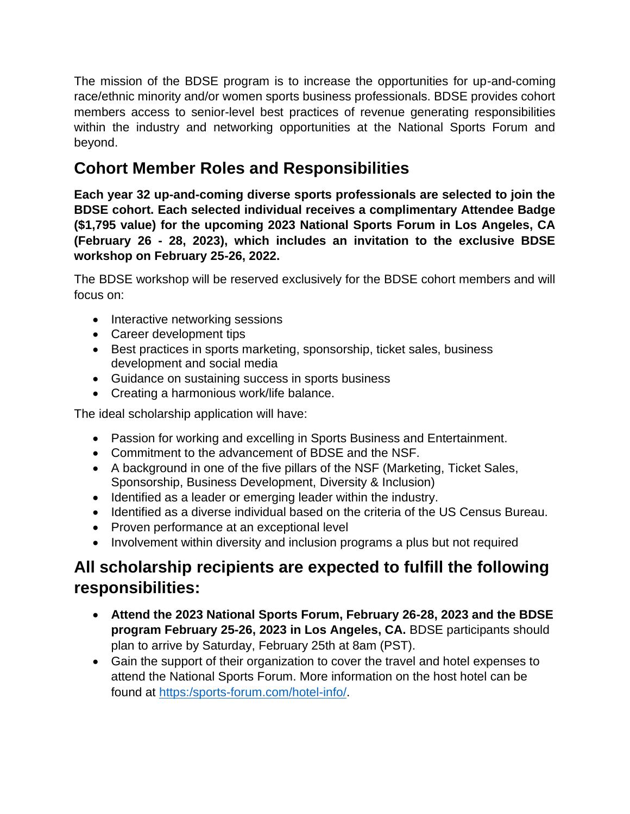The mission of the BDSE program is to increase the opportunities for up-and-coming race/ethnic minority and/or women sports business professionals. BDSE provides cohort members access to senior-level best practices of revenue generating responsibilities within the industry and networking opportunities at the National Sports Forum and beyond.

# **Cohort Member Roles and Responsibilities**

**Each year 32 up-and-coming diverse sports professionals are selected to join the BDSE cohort. Each selected individual receives a complimentary Attendee Badge (\$1,795 value) for the upcoming 2023 National Sports Forum in Los Angeles, CA (February 26 - 28, 2023), which includes an invitation to the exclusive BDSE workshop on February 25-26, 2022.**

The BDSE workshop will be reserved exclusively for the BDSE cohort members and will focus on:

- Interactive networking sessions
- Career development tips
- Best practices in sports marketing, sponsorship, ticket sales, business development and social media
- Guidance on sustaining success in sports business
- Creating a harmonious work/life balance.

The ideal scholarship application will have:

- Passion for working and excelling in Sports Business and Entertainment.
- Commitment to the advancement of BDSE and the NSF.
- A background in one of the five pillars of the NSF (Marketing, Ticket Sales, Sponsorship, Business Development, Diversity & Inclusion)
- Identified as a leader or emerging leader within the industry.
- Identified as a diverse individual based on the criteria of the US Census Bureau.
- Proven performance at an exceptional level
- Involvement within diversity and inclusion programs a plus but not required

# **All scholarship recipients are expected to fulfill the following responsibilities:**

- **Attend the 2023 National Sports Forum, February 26-28, 2023 and the BDSE program February 25-26, 2023 in Los Angeles, CA.** BDSE participants should plan to arrive by Saturday, February 25th at 8am (PST).
- Gain the support of their organization to cover the travel and hotel expenses to attend the National Sports Forum. More information on the host hotel can be found at [https:/sports-forum.com/hotel-info/.](https://sports-forum.com/hotel-info/)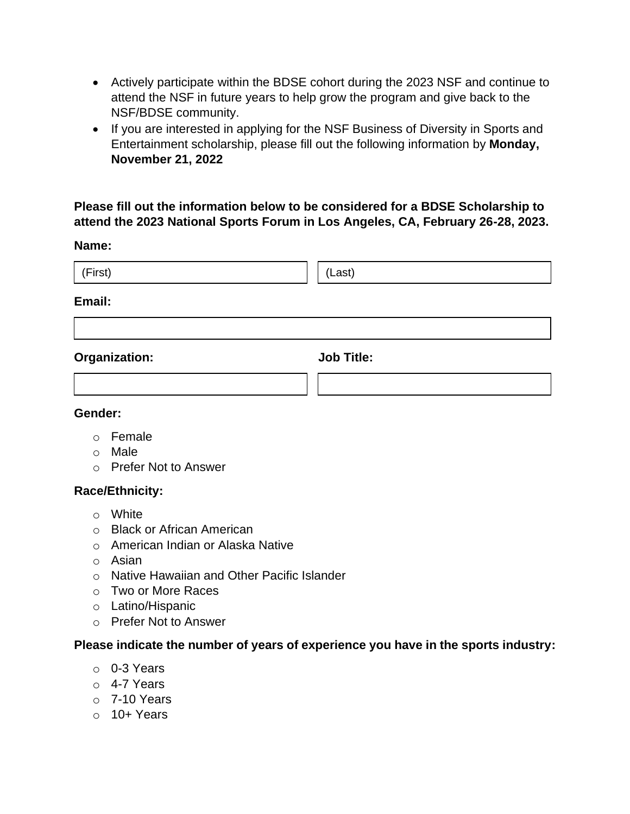- Actively participate within the BDSE cohort during the 2023 NSF and continue to attend the NSF in future years to help grow the program and give back to the NSF/BDSE community.
- If you are interested in applying for the NSF Business of Diversity in Sports and Entertainment scholarship, please fill out the following information by **Monday, November 21, 2022**

## **Please fill out the information below to be considered for a BDSE Scholarship to attend the 2023 National Sports Forum in Los Angeles, CA, February 26-28, 2023.**

#### **Name:**

| (First)       | (Last) |
|---------------|--------|
| $E_{\rm max}$ |        |

#### **Email:**

**Organization: Job Title:** 

#### **Gender:**

- o Female
- o Male
- o Prefer Not to Answer

## **Race/Ethnicity:**

- o White
- o Black or African American
- o American Indian or Alaska Native
- o Asian
- o Native Hawaiian and Other Pacific Islander
- o Two or More Races
- o Latino/Hispanic
- o Prefer Not to Answer

## **Please indicate the number of years of experience you have in the sports industry:**

- o 0-3 Years
- o 4-7 Years
- $\circ$  7-10 Years
- $\circ$  10+ Years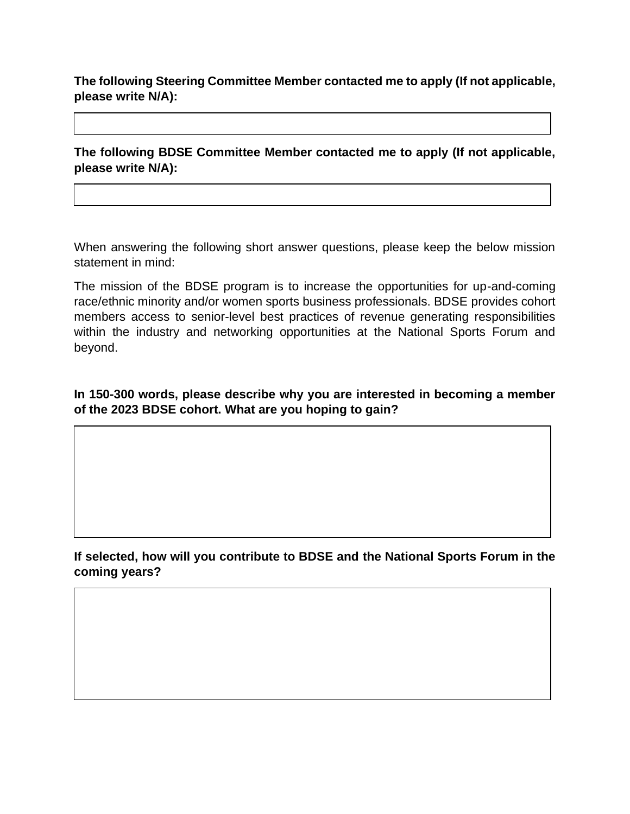**The following Steering Committee Member contacted me to apply (If not applicable, please write N/A):**

**The following BDSE Committee Member contacted me to apply (If not applicable, please write N/A):**

When answering the following short answer questions, please keep the below mission statement in mind:

The mission of the BDSE program is to increase the opportunities for up-and-coming race/ethnic minority and/or women sports business professionals. BDSE provides cohort members access to senior-level best practices of revenue generating responsibilities within the industry and networking opportunities at the National Sports Forum and beyond.

**In 150-300 words, please describe why you are interested in becoming a member of the 2023 BDSE cohort. What are you hoping to gain?**

**If selected, how will you contribute to BDSE and the National Sports Forum in the coming years?**